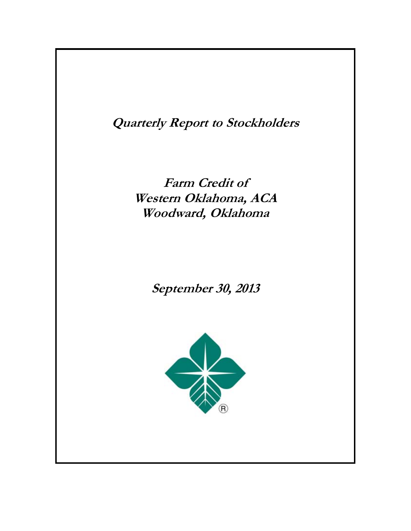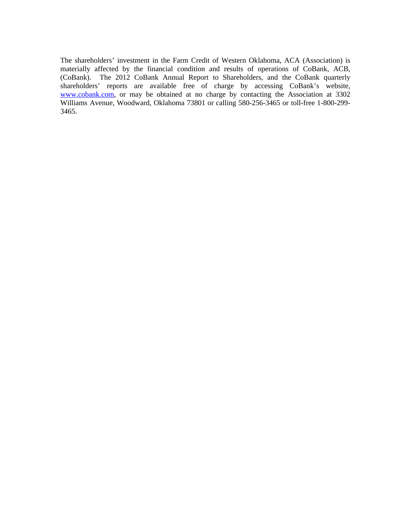The shareholders' investment in the Farm Credit of Western Oklahoma, ACA (Association) is materially affected by the financial condition and results of operations of CoBank, ACB, (CoBank). The 2012 CoBank Annual Report to Shareholders, and the CoBank quarterly shareholders' reports are available free of charge by accessing CoBank's website, www.cobank.com, or may be obtained at no charge by contacting the Association at 3302 Williams Avenue, Woodward, Oklahoma 73801 or calling 580-256-3465 or toll-free 1-800-299- 3465.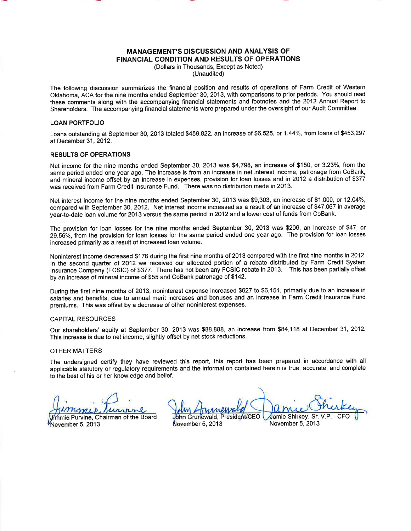### **MANAGEMENT'S DISCUSSION AND ANALYSIS OF FINANCIAL CONDITION AND RESULTS OF OPERATIONS**

(Dollars in Thousands, Except as Noted) (Unaudited)

The following discussion summarizes the financial position and results of operations of Farm Credit of Western Oklahoma. ACA for the nine months ended September 30, 2013, with comparisons to prior periods. You should read these comments along with the accompanying financial statements and footnotes and the 2012 Annual Report to Shareholders. The accompanying financial statements were prepared under the oversight of our Audit Committee.

#### **LOAN PORTFOLIO**

Loans outstanding at September 30, 2013 totaled \$459,822, an increase of \$6,525, or 1.44%, from loans of \$453,297 at December 31, 2012.

#### **RESULTS OF OPERATIONS**

Net income for the nine months ended September 30, 2013 was \$4,798, an increase of \$150, or 3.23%, from the same period ended one year ago. The increase is from an increase in net interest income, patronage from CoBank, and mineral income offset by an increase in expenses, provision for loan losses and in 2012 a distribution of \$377 was received from Farm Credit Insurance Fund. There was no distribution made in 2013.

Net interest income for the nine months ended September 30, 2013 was \$9,303, an increase of \$1,000, or 12.04%, compared with September 30, 2012. Net interest income increased as a result of an increase of \$47,067 in average year-to-date loan volume for 2013 versus the same period in 2012 and a lower cost of funds from CoBank.

The provision for loan losses for the nine months ended September 30, 2013 was \$206, an increase of \$47, or 29.56%, from the provision for loan losses for the same period ended one year ago. The provision for loan losses increased primarily as a result of increased loan volume.

Noninterest income decreased \$176 during the first nine months of 2013 compared with the first nine months in 2012. In the second quarter of 2012 we received our allocated portion of a rebate distributed by Farm Credit Svstem Insurance Company (FCSIC) of \$377. There has not been any FCSIC rebate in 2013. This has been partially offset by an increase of mineral income of \$55 and CoBank patronage of \$142.

During the first nine months of 2013, noninterest expense increased \$627 to \$6,151, primarily due to an increase in salaries and benefits, due to annual merit increases and bonuses and an increase in Farm Credit Insurance Fund premiums. This was offset by a decrease of other noninterest expenses.

#### **CAPITAL RESOURCES**

Our shareholders' equity at September 30, 2013 was \$88,888, an increase from \$84,118 at December 31, 2012. This increase is due to net income, slightly offset by net stock reductions.

#### **OTHER MATTERS**

The undersigned certify they have reviewed this report, this report has been prepared in accordance with all applicable statutory or regulatory requirements and the information contained herein is true, accurate, and complete to the best of his or her knowledge and belief.

**Jimmie Purvine, Chairman of the Board** November 5, 2013

ohn Grunewald, President/CEO Jamie Shirkey, Sr.

November 5, 2013

November 5, 2013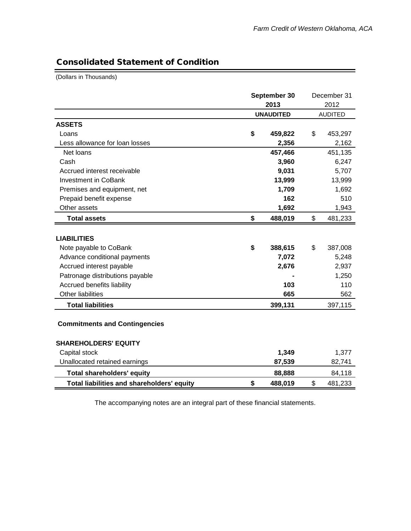۳

## Consolidated Statement of Condition

(Dollars in Thousands)

|                                            |    | September 30     | December 31    |
|--------------------------------------------|----|------------------|----------------|
|                                            |    | 2013             | 2012           |
|                                            |    | <b>UNAUDITED</b> | <b>AUDITED</b> |
| <b>ASSETS</b>                              |    |                  |                |
| Loans                                      | \$ | 459,822          | \$<br>453,297  |
| Less allowance for loan losses             |    | 2,356            | 2,162          |
| Net loans                                  |    | 457,466          | 451,135        |
| Cash                                       |    | 3,960            | 6,247          |
| Accrued interest receivable                |    | 9,031            | 5,707          |
| <b>Investment in CoBank</b>                |    | 13,999           | 13,999         |
| Premises and equipment, net                |    | 1,709            | 1,692          |
| Prepaid benefit expense                    |    | 162              | 510            |
| Other assets                               |    | 1,692            | 1,943          |
| <b>Total assets</b>                        | \$ | 488,019          | \$<br>481,233  |
|                                            |    |                  |                |
| <b>LIABILITIES</b>                         |    |                  |                |
| Note payable to CoBank                     | \$ | 388,615          | \$<br>387,008  |
| Advance conditional payments               |    | 7,072            | 5,248          |
| Accrued interest payable                   |    | 2,676            | 2,937          |
| Patronage distributions payable            |    |                  | 1,250          |
| Accrued benefits liability                 |    | 103              | 110            |
| Other liabilities                          |    | 665              | 562            |
| <b>Total liabilities</b>                   |    | 399,131          | 397,115        |
| <b>Commitments and Contingencies</b>       |    |                  |                |
| <b>SHAREHOLDERS' EQUITY</b>                |    |                  |                |
| Capital stock                              |    | 1,349            | 1,377          |
| Unallocated retained earnings              |    | 87,539           | 82,741         |
| <b>Total shareholders' equity</b>          |    | 88,888           | 84,118         |
| Total liabilities and shareholders' equity | \$ | 488,019          | \$<br>481,233  |

The accompanying notes are an integral part of these financial statements.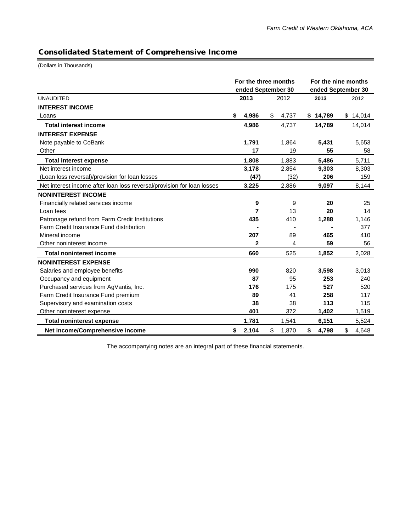-

## Consolidated Statement of Comprehensive Income

(Dollars in Thousands)

|                                                                        |    | For the three months<br>ended September 30 |             | For the nine months<br>ended September 30 |          |    |          |  |
|------------------------------------------------------------------------|----|--------------------------------------------|-------------|-------------------------------------------|----------|----|----------|--|
| <b>UNAUDITED</b>                                                       |    | 2013                                       | 2012        |                                           | 2013     |    | 2012     |  |
| <b>INTEREST INCOME</b>                                                 |    |                                            |             |                                           |          |    |          |  |
| Loans                                                                  | S. | 4,986                                      | \$<br>4,737 |                                           | \$14,789 |    | \$14,014 |  |
| <b>Total interest income</b>                                           |    | 4,986                                      | 4,737       |                                           | 14,789   |    | 14,014   |  |
| <b>INTEREST EXPENSE</b>                                                |    |                                            |             |                                           |          |    |          |  |
| Note payable to CoBank                                                 |    | 1,791                                      | 1,864       |                                           | 5,431    |    | 5,653    |  |
| Other                                                                  |    | 17                                         | 19          |                                           | 55       |    | 58       |  |
| <b>Total interest expense</b>                                          |    | 1,808                                      | 1,883       |                                           | 5,486    |    | 5,711    |  |
| Net interest income                                                    |    | 3,178                                      | 2,854       |                                           | 9,303    |    | 8,303    |  |
| (Loan loss reversal)/provision for loan losses                         |    | (47)                                       | (32)        |                                           | 206      |    | 159      |  |
| Net interest income after loan loss reversal/provision for loan losses |    | 3,225                                      | 2,886       |                                           | 9,097    |    | 8,144    |  |
| <b>NONINTEREST INCOME</b>                                              |    |                                            |             |                                           |          |    |          |  |
| Financially related services income                                    |    | 9                                          | 9           |                                           | 20       |    | 25       |  |
| Loan fees                                                              |    | 7                                          | 13          |                                           | 20       |    | 14       |  |
| Patronage refund from Farm Credit Institutions                         |    | 435                                        | 410         |                                           | 1,288    |    | 1,146    |  |
| Farm Credit Insurance Fund distribution                                |    |                                            |             |                                           |          |    | 377      |  |
| Mineral income                                                         |    | 207                                        | 89          |                                           | 465      |    | 410      |  |
| Other noninterest income                                               |    | 2                                          | 4           |                                           | 59       |    | 56       |  |
| <b>Total noninterest income</b>                                        |    | 660                                        | 525         |                                           | 1,852    |    | 2,028    |  |
| <b>NONINTEREST EXPENSE</b>                                             |    |                                            |             |                                           |          |    |          |  |
| Salaries and employee benefits                                         |    | 990                                        | 820         |                                           | 3,598    |    | 3,013    |  |
| Occupancy and equipment                                                |    | 87                                         | 95          |                                           | 253      |    | 240      |  |
| Purchased services from AgVantis, Inc.                                 |    | 176                                        | 175         |                                           | 527      |    | 520      |  |
| Farm Credit Insurance Fund premium                                     |    | 89                                         | 41          |                                           | 258      |    | 117      |  |
| Supervisory and examination costs                                      |    | 38                                         | 38          |                                           | 113      |    | 115      |  |
| Other noninterest expense                                              |    | 401                                        | 372         |                                           | 1,402    |    | 1,519    |  |
| <b>Total noninterest expense</b>                                       |    | 1,781                                      | 1,541       |                                           | 6,151    |    | 5,524    |  |
| Net income/Comprehensive income                                        | \$ | 2,104                                      | \$<br>1,870 | \$                                        | 4,798    | \$ | 4,648    |  |

The accompanying notes are an integral part of these financial statements.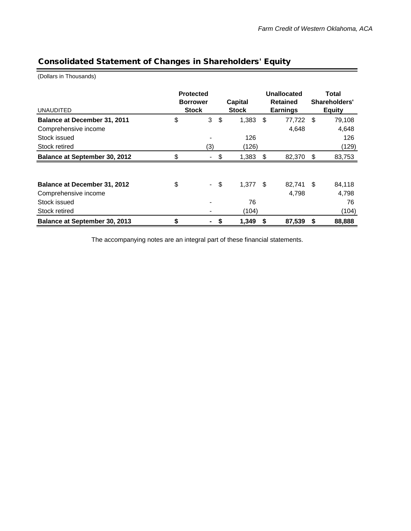# Consolidated Statement of Changes in Shareholders' Equity

(Dollars in Thousands)

| <b>UNAUDITED</b>                     | <b>Protected</b><br><b>Borrower</b><br><b>Stock</b> |    | <b>Capital</b><br><b>Stock</b> |     | Unallocated<br><b>Retained</b><br><b>Earnings</b> |    | Total<br>Shareholders'<br><b>Equity</b> |
|--------------------------------------|-----------------------------------------------------|----|--------------------------------|-----|---------------------------------------------------|----|-----------------------------------------|
| Balance at December 31, 2011         | \$<br>3                                             | \$ | 1,383                          | \$  | 77,722                                            | \$ | 79,108                                  |
| Comprehensive income                 |                                                     |    |                                |     | 4,648                                             |    | 4,648                                   |
| Stock issued                         |                                                     |    | 126                            |     |                                                   |    | 126                                     |
| Stock retired                        | (3)                                                 |    | (126)                          |     |                                                   |    | (129)                                   |
| <b>Balance at September 30, 2012</b> | \$<br>۰                                             | \$ | 1,383                          | \$  | 82,370                                            | \$ | 83,753                                  |
|                                      |                                                     |    |                                |     |                                                   |    |                                         |
| <b>Balance at December 31, 2012</b>  | \$<br>$\sim$ $-$                                    | \$ | 1,377                          | -\$ | 82,741                                            | \$ | 84,118                                  |
| Comprehensive income                 |                                                     |    |                                |     | 4,798                                             |    | 4,798                                   |
| Stock issued                         |                                                     |    | 76                             |     |                                                   |    | 76                                      |
| Stock retired                        |                                                     |    | (104)                          |     |                                                   |    | (104)                                   |
| Balance at September 30, 2013        | \$<br>-                                             | S  | 1,349                          | S   | 87,539                                            | S  | 88,888                                  |

The accompanying notes are an integral part of these financial statements.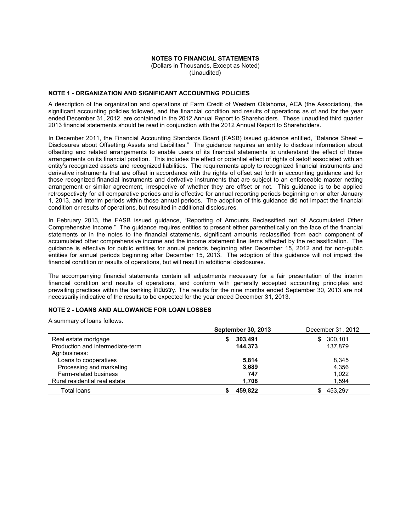## **NOTES TO FINANCIAL STATEMENTS**

(Dollars in Thousands, Except as Noted) (Unaudited)

### **NOTE 1 - ORGANIZATION AND SIGNIFICANT ACCOUNTING POLICIES**

A description of the organization and operations of Farm Credit of Western Oklahoma, ACA (the Association), the significant accounting policies followed, and the financial condition and results of operations as of and for the year ended December 31, 2012, are contained in the 2012 Annual Report to Shareholders. These unaudited third quarter 2013 financial statements should be read in conjunction with the 2012 Annual Report to Shareholders.

In December 2011, the Financial Accounting Standards Board (FASB) issued quidance entitled. "Balance Sheet -Disclosures about Offsetting Assets and Liabilities." The guidance requires an entity to disclose information about offsetting and related arrangements to enable users of its financial statements to understand the effect of those arrangements on its financial position. This includes the effect or potential effect of rights of setoff associated with an entity's recognized assets and recognized liabilities. The requirements apply to recognized financial instruments and derivative instruments that are offset in accordance with the rights of offset set forth in accounting guidance and for those recognized financial instruments and derivative instruments that are subject to an enforceable master netting arrangement or similar agreement, irrespective of whether they are offset or not. This guidance is to be applied retrospectively for all comparative periods and is effective for annual reporting periods beginning on or after January 1, 2013, and interim periods within those annual periods. The adoption of this guidance did not impact the financial condition or results of operations, but resulted in additional disclosures.

In February 2013, the FASB issued guidance, "Reporting of Amounts Reclassified out of Accumulated Other Comprehensive Income." The guidance requires entities to present either parenthetically on the face of the financial statements or in the notes to the financial statements, significant amounts reclassified from each component of accumulated other comprehensive income and the income statement line items affected by the reclassification. The guidance is effective for public entities for annual periods beginning after December 15, 2012 and for non-public entities for annual periods beginning after December 15, 2013. The adoption of this guidance will not impact the financial condition or results of operations, but will result in additional disclosures.

The accompanying financial statements contain all adjustments necessary for a fair presentation of the interim financial condition and results of operations, and conform with generally accepted accounting principles and prevailing practices within the banking industry. The results for the nine months ended September 30, 2013 are not necessarily indicative of the results to be expected for the year ended December 31, 2013.

## **NOTE 2 - LOANS AND ALLOWANCE FOR LOAN LOSSES**

A summary of loans follows.

|                                  | <b>September 30, 2013</b> | December 31, 2012 |  |  |
|----------------------------------|---------------------------|-------------------|--|--|
| Real estate mortgage             | 303,491<br>S              | 300,101<br>SS.    |  |  |
| Production and intermediate-term | 144.373                   | 137.879           |  |  |
| Agribusiness:                    |                           |                   |  |  |
| Loans to cooperatives            | 5.814                     | 8.345             |  |  |
| Processing and marketing         | 3,689                     | 4,356             |  |  |
| Farm-related business            | 747                       | 1,022             |  |  |
| Rural residential real estate    | 1.708                     | 1.594             |  |  |
| <b>Total loans</b>               | 459.822                   | 453,297           |  |  |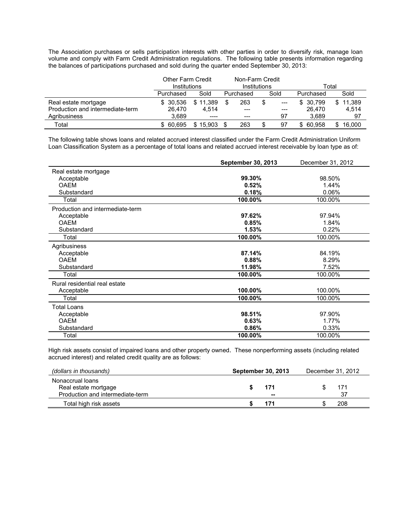The Association purchases or sells participation interests with other parties in order to diversify risk, manage loan volume and comply with Farm Credit Administration regulations. The following table presents information regarding the balances of participations purchased and sold during the quarter ended September 30, 2013:

|                                  | <b>Other Farm Credit</b><br>Institutions |          |           | Non-Farm Credit | Institutions |       | Total        |        |  |  |
|----------------------------------|------------------------------------------|----------|-----------|-----------------|--------------|-------|--------------|--------|--|--|
|                                  | Purchased                                | Sold     | Purchased |                 |              | Sold  | Purchased    | Sold   |  |  |
| Real estate mortgage             | \$ 30.536                                | \$11.389 |           | 263             |              | $---$ | 30.799<br>S. | 11,389 |  |  |
| Production and intermediate-term | 26.470                                   | 4.514    |           | ---             |              | $---$ | 26.470       | 4.514  |  |  |
| Agribusiness                     | 3.689                                    | ----     |           | ---             |              | 97    | 3.689        | 97     |  |  |
| Total                            | \$ 60.695                                | \$15.903 |           | 263             |              | 97    | 60.958<br>S. | 16.000 |  |  |

The following table shows loans and related accrued interest classified under the Farm Credit Administration Uniform Loan Classification System as a percentage of total loans and related accrued interest receivable by loan type as of:

|                                  | September 30, 2013 | December 31, 2012 |
|----------------------------------|--------------------|-------------------|
| Real estate mortgage             |                    |                   |
| Acceptable                       | 99.30%             | 98.50%            |
| <b>OAEM</b>                      | 0.52%              | 1.44%             |
| Substandard                      | 0.18%              | 0.06%             |
| Total                            | 100.00%            | 100.00%           |
| Production and intermediate-term |                    |                   |
| Acceptable                       | 97.62%             | 97.94%            |
| <b>OAEM</b>                      | 0.85%              | 1.84%             |
| Substandard                      | 1.53%              | 0.22%             |
| Total                            | 100.00%            | 100.00%           |
| Agribusiness                     |                    |                   |
| Acceptable                       | 87.14%             | 84.19%            |
| <b>OAEM</b>                      | 0.88%              | 8.29%             |
| Substandard                      | 11.98%             | 7.52%             |
| Total                            | 100.00%            | 100.00%           |
| Rural residential real estate    |                    |                   |
| Acceptable                       | 100.00%            | 100.00%           |
| Total                            | 100.00%            | 100.00%           |
| <b>Total Loans</b>               |                    |                   |
| Acceptable                       | 98.51%             | 97.90%            |
| <b>OAEM</b>                      | 0.63%              | 1.77%             |
| Substandard                      | 0.86%              | 0.33%             |
| Total                            | 100.00%            | 100.00%           |

High risk assets consist of impaired loans and other property owned. These nonperforming assets (including related accrued interest) and related credit quality are as follows:

| (dollars in thousands)           | <b>September 30, 2013</b> | December 31, 2012 |     |  |
|----------------------------------|---------------------------|-------------------|-----|--|
| Nonaccrual loans                 |                           |                   |     |  |
| Real estate mortgage             | 171                       |                   | 171 |  |
| Production and intermediate-term | --                        |                   | 37  |  |
| Total high risk assets           |                           |                   | 208 |  |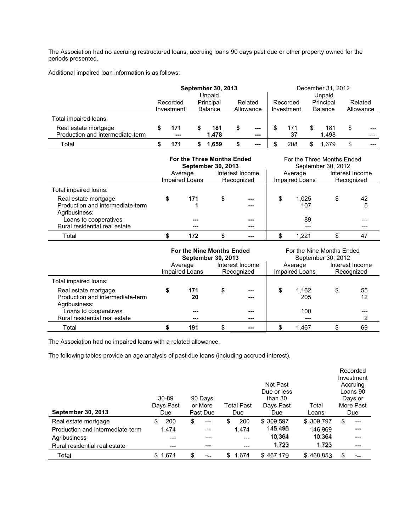The Association had no accruing restructured loans, accruing loans 90 days past due or other property owned for the periods presented.

Additional impaired loan information is as follows:

|                                  |  |                                                       | <b>September 30, 2013</b> | December 31, 2012       |  |          |  |                |           |       |         |  |
|----------------------------------|--|-------------------------------------------------------|---------------------------|-------------------------|--|----------|--|----------------|-----------|-------|---------|--|
|                                  |  |                                                       | Unpaid                    | Unpaid                  |  |          |  |                |           |       |         |  |
|                                  |  | Principal<br>Recorded<br><b>Balance</b><br>Investment |                           | Related                 |  | Recorded |  |                | Principal |       | Related |  |
|                                  |  |                                                       |                           | Investment<br>Allowance |  |          |  | <b>Balance</b> | Allowance |       |         |  |
| Total impaired loans:            |  |                                                       |                           |                         |  |          |  |                |           |       |         |  |
| Real estate mortgage             |  | 171                                                   |                           | 181                     |  | ---      |  | 171            |           | 181   | \$      |  |
| Production and intermediate-term |  | $- - -$                                               |                           | 1.478                   |  | ---      |  | 37             |           | 1.498 |         |  |
| Total                            |  |                                                       |                           | 1.659                   |  | ---      |  | 208            |           | l.679 |         |  |

|                                                                           |                                                            | <b>For the Three Months Ended</b><br><b>September 30, 2013</b> |  |     |                           | For the Three Months Ended<br>September 30, 2012 |         |  |
|---------------------------------------------------------------------------|------------------------------------------------------------|----------------------------------------------------------------|--|-----|---------------------------|--------------------------------------------------|---------|--|
|                                                                           | Interest Income<br>Average<br>Impaired Loans<br>Recognized |                                                                |  |     | Average<br>Impaired Loans | Interest Income<br>Recognized                    |         |  |
| Total impaired loans:                                                     |                                                            |                                                                |  |     |                           |                                                  |         |  |
| Real estate mortgage<br>Production and intermediate-term<br>Agribusiness: |                                                            | 171                                                            |  | --- | \$<br>1.025<br>107        | \$                                               | 42<br>5 |  |
| Loans to cooperatives<br>Rural residential real estate                    |                                                            | ---                                                            |  | --- | 89                        |                                                  |         |  |
| Total                                                                     |                                                            | 172                                                            |  |     | \$<br>1.221               |                                                  | 47      |  |

|                                                                           |                                                            | For the Nine Months Ended<br><b>September 30, 2013</b> |  |              | For the Nine Months Ended<br>September 30, 2012 |                           |                               |          |  |
|---------------------------------------------------------------------------|------------------------------------------------------------|--------------------------------------------------------|--|--------------|-------------------------------------------------|---------------------------|-------------------------------|----------|--|
|                                                                           | Interest Income<br>Average<br>Impaired Loans<br>Recognized |                                                        |  |              |                                                 | Average<br>Impaired Loans | Interest Income<br>Recognized |          |  |
| Total impaired loans:                                                     |                                                            |                                                        |  |              |                                                 |                           |                               |          |  |
| Real estate mortgage<br>Production and intermediate-term<br>Agribusiness: |                                                            | 171<br>20                                              |  | $---$<br>--- | \$                                              | 1.162<br>205              | S                             | 55<br>12 |  |
| Loans to cooperatives<br>Rural residential real estate                    |                                                            | ---<br>$--$                                            |  | ---<br>---   |                                                 | 100<br>---                |                               |          |  |
| Total                                                                     |                                                            | 191                                                    |  | ---          |                                                 | 1.467                     |                               | 69       |  |

The Association had no impaired loans with a related allowance.

The following tables provide an age analysis of past due loans (including accrued interest).

| <b>September 30, 2013</b>        | $30 - 89$<br>Days Past<br>Due | 90 Days<br>or More<br>Past Due | <b>Total Past</b><br>Due | Not Past<br>Due or less<br>than 30<br>Days Past<br>Due | Total<br>Loans | Recorded<br>Investment<br>Accruing<br>Loans 90<br>Days or<br>More Past<br>Due |
|----------------------------------|-------------------------------|--------------------------------|--------------------------|--------------------------------------------------------|----------------|-------------------------------------------------------------------------------|
| Real estate mortgage             | 200<br>S                      | \$                             | 200<br>\$                | \$309,597                                              | \$309,797      | \$<br>$---$                                                                   |
| Production and intermediate-term | 1,474                         | ---                            | 1.474                    | 145,495                                                | 146,969        | ---                                                                           |
| Agribusiness                     |                               |                                | ---                      | 10,364                                                 | 10,364         | ---                                                                           |
| Rural residential real estate    | ---                           | ---                            | ---                      | 1,723                                                  | 1,723          | $= - +$                                                                       |
| Total                            | \$1,674                       | \$                             | 1,674<br>\$.             | \$467,179                                              | \$468,853      | \$                                                                            |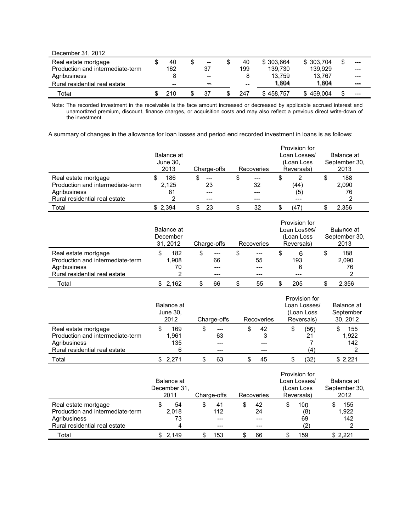| December 31, 2012                |     |       |     |           |            |       |
|----------------------------------|-----|-------|-----|-----------|------------|-------|
| Real estate mortgage             | 40  | $- -$ | 40  | \$303.664 | \$ 303.704 | $---$ |
| Production and intermediate-term | 162 | 37    | 199 | 139.730   | 139.929    | $---$ |
| Agribusiness                     |     | --    | 8   | 13.759    | 13.767     | $---$ |
| Rural residential real estate    | --  | --    | --  | 1.604     | 1,604      | ---   |
| Total                            | 210 | 37    | 247 | \$458.757 | \$459,004  |       |

Note: The recorded investment in the receivable is the face amount increased or decreased by applicable accrued interest and<br>unamortized premium, discount, finance charges, or acquisition costs and may also reflect a previ the investment.

A summary of changes in the allowance for loan losses and period end recorded investment in loans is as follows:

|                                  | Balance at<br>June 30,<br>2013 | Charge-offs | <b>Recoveries</b> | Provision for<br>Loan Losses/<br>(Loan Loss<br>Reversals) | Balance at<br>September 30,<br>2013 |
|----------------------------------|--------------------------------|-------------|-------------------|-----------------------------------------------------------|-------------------------------------|
| Real estate mortgage             | 186                            | $---$       | $---$             | S                                                         | 188                                 |
| Production and intermediate-term | 2,125                          | 23          | 32                | (44)                                                      | 2,090                               |
| Agribusiness                     | 81                             |             |                   | (5)                                                       | 76                                  |
| Rural residential real estate    |                                |             |                   | ---                                                       |                                     |
| Total                            | \$2.394                        | 23          | 32                | (47                                                       | 2.356                               |

|                                                                          | Balance at<br>December<br>31, 2012 | Charge-offs              | Recoveries      | Provision for<br>Loan Losses/<br>(Loan Loss)<br>Reversals) | Balance at<br>September 30,<br>2013 |  |
|--------------------------------------------------------------------------|------------------------------------|--------------------------|-----------------|------------------------------------------------------------|-------------------------------------|--|
| Real estate mortgage<br>Production and intermediate-term<br>Agribusiness | 182<br>1.908<br>70                 | \$<br>$---$<br>66<br>--- | \$<br>---<br>55 | 6<br>S<br>193<br>6                                         | 188<br>2,090<br>76                  |  |
| Rural residential real estate<br>Total                                   | \$2.162                            | ---<br>66                | 55<br>\$        | 205                                                        | 2.356                               |  |

|                                                          | Balance at<br>June 30,<br>2012 | Charge-offs       | Recoveries   | Provision for<br>Loan Losses/<br>(Loan Loss<br>Reversals) | Balance at<br>September<br>30, 2012 |  |
|----------------------------------------------------------|--------------------------------|-------------------|--------------|-----------------------------------------------------------|-------------------------------------|--|
| Real estate mortgage<br>Production and intermediate-term | 169<br>1.961                   | \$<br>$---$<br>63 | 42<br>S<br>3 | (56)<br>S<br>21                                           | 155<br>1.922                        |  |
| Agribusiness<br>Rural residential real estate            | 135<br>6                       | ---               | ---<br>---   | $\left( 4\right)$                                         | 142                                 |  |
| Total                                                    | 2.271                          | 63                | 45           | (32)                                                      | \$2.221                             |  |

|                                  | Balance at<br>December 31,<br>2011 |    | Charge-offs |     | Recoveries |    | Provision for<br>Loan Losses/<br>(Loan Loss<br>Reversals) |     | Balance at<br>September 30,<br>2012 |         |  |
|----------------------------------|------------------------------------|----|-------------|-----|------------|----|-----------------------------------------------------------|-----|-------------------------------------|---------|--|
| Real estate mortgage             |                                    | 54 | S           | 41  |            | 42 |                                                           | 100 |                                     | 155     |  |
| Production and intermediate-term | 2.018                              |    | 112         |     | 24         |    | (8)                                                       |     |                                     | 1,922   |  |
| Agribusiness                     |                                    | 73 |             | --- |            |    |                                                           | 69  |                                     | 142     |  |
| Rural residential real estate    |                                    | 4  |             | --- |            |    |                                                           | (2) |                                     | າ       |  |
| Total                            | \$2.149                            |    |             | 153 |            | 66 |                                                           | 159 |                                     | \$2.221 |  |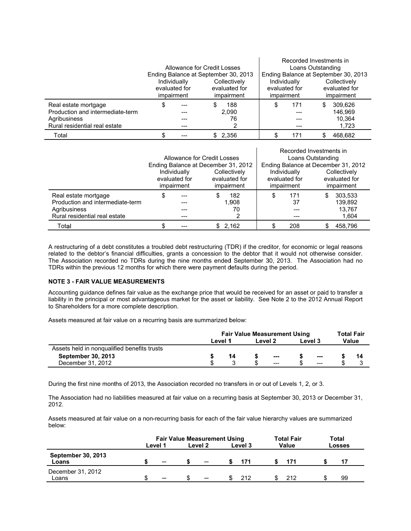|                                                          | Allowance for Credit Losses                                                                |  | Ending Balance at September 30, 2013 | Recorded Investments in<br>Loans Outstanding<br>Ending Balance at September 30, 2013<br>Individually<br>Collectively |    |                             |  |  |
|----------------------------------------------------------|--------------------------------------------------------------------------------------------|--|--------------------------------------|----------------------------------------------------------------------------------------------------------------------|----|-----------------------------|--|--|
|                                                          | Collectively<br>Individually<br>evaluated for<br>evaluated for<br>impairment<br>impairment |  |                                      | evaluated for<br>impairment                                                                                          |    | evaluated for<br>impairment |  |  |
| Real estate mortgage<br>Production and intermediate-term |                                                                                            |  | 188<br>2,090                         | 171                                                                                                                  | \$ | 309.626<br>146.969          |  |  |
| Agribusiness<br>Rural residential real estate            |                                                                                            |  | 76                                   |                                                                                                                      |    | 10.364<br>1,723             |  |  |
| Total                                                    |                                                                                            |  | \$2,356                              | 171                                                                                                                  |    | 468.682                     |  |  |

|                                  |            |                             |                                     | Recorded Investments in<br>Loans Outstanding |                                     |   |               |  |
|----------------------------------|------------|-----------------------------|-------------------------------------|----------------------------------------------|-------------------------------------|---|---------------|--|
|                                  |            | Allowance for Credit Losses |                                     |                                              |                                     |   |               |  |
|                                  |            |                             | Ending Balance at December 31, 2012 |                                              | Ending Balance at December 31, 2012 |   |               |  |
|                                  |            | Individually                | Collectively                        |                                              | Individually                        |   | Collectively  |  |
|                                  |            | evaluated for               | evaluated for                       |                                              | evaluated for                       |   | evaluated for |  |
|                                  | impairment |                             | impairment                          |                                              | impairment                          |   | impairment    |  |
| Real estate mortgage             |            |                             | 182                                 |                                              | 171                                 | S | 303.533       |  |
| Production and intermediate-term |            |                             | 1.908                               |                                              | 37                                  |   | 139,892       |  |
| Agribusiness                     |            |                             | 70                                  |                                              |                                     |   | 13.767        |  |
| Rural residential real estate    |            |                             |                                     |                                              |                                     |   | 1,604         |  |
| Total                            |            |                             | \$2,162                             |                                              | 208                                 |   | 458,796       |  |

A restructuring of a debt constitutes a troubled debt restructuring (TDR) if the creditor, for economic or legal reasons related to the debtor's financial difficulties, grants a concession to the debtor that it would not otherwise consider. The Association recorded no TDRs during the nine months ended September 30, 2013. The Association had no TDRs within the previous 12 months for which there were payment defaults during the period.

## **NOTE 3 - FAIR VALUE MEASUREMENTS**

Accounting guidance defines fair value as the exchange price that would be received for an asset or paid to transfer a liability in the principal or most advantageous market for the asset or liability. See Note 2 to the 2012 Annual Report to Shareholders for a more complete description.

Assets measured at fair value on a recurring basis are summarized below:

|                                             |         | <b>Fair Value Measurement Using</b> | Total Fair |         |  |       |  |    |
|---------------------------------------------|---------|-------------------------------------|------------|---------|--|-------|--|----|
|                                             | Level 1 | Level 2                             |            | Level 3 |  | Value |  |    |
| Assets held in nonqualified benefits trusts |         |                                     |            |         |  |       |  |    |
| <b>September 30, 2013</b>                   |         | 14                                  |            | ---     |  | $---$ |  | 14 |
| December 31, 2012                           |         |                                     |            | $---$   |  | $---$ |  |    |

During the first nine months of 2013, the Association recorded no transfers in or out of Levels 1, 2, or 3.

The Association had no liabilities measured at fair value on a recurring basis at September 30, 2013 or December 31, 2012.

Assets measured at fair value on a non-recurring basis for each of the fair value hierarchy values are summarized below:

|                                    | <b>Fair Value Measurement Using</b> |         |  |                          |         |     |       | <b>Total Fair</b> |        | Total |  |
|------------------------------------|-------------------------------------|---------|--|--------------------------|---------|-----|-------|-------------------|--------|-------|--|
|                                    |                                     | Level 1 |  | Level 2                  | Level 3 |     | Value |                   | Losses |       |  |
| <b>September 30, 2013</b><br>Loans |                                     | —       |  | —                        |         | 171 |       |                   |        | 17    |  |
| December 31, 2012<br>Loans         |                                     |         |  | $\overline{\phantom{0}}$ |         | 212 |       | 212               |        | 99    |  |